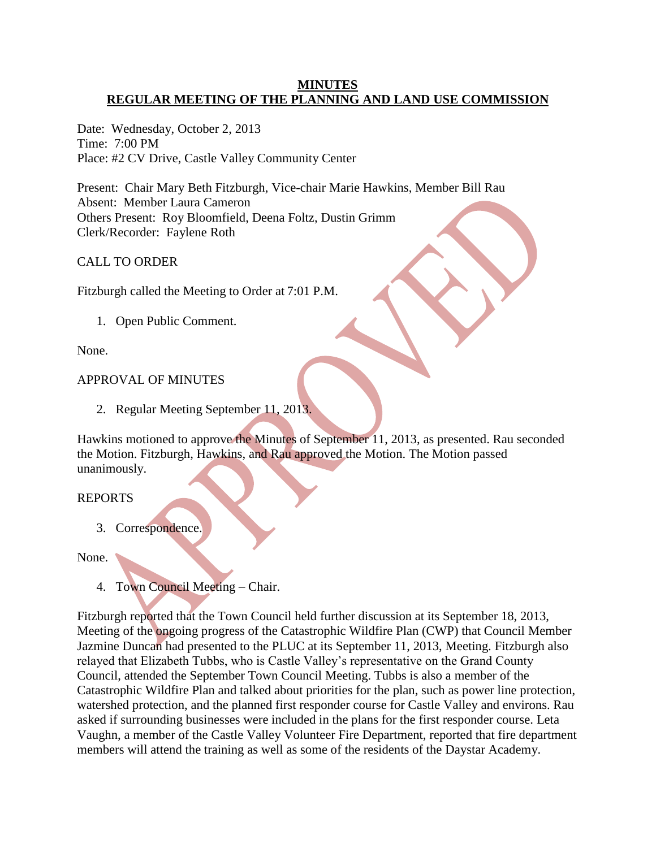#### **MINUTES REGULAR MEETING OF THE PLANNING AND LAND USE COMMISSION**

Date: Wednesday, October 2, 2013 Time: 7:00 PM Place: #2 CV Drive, Castle Valley Community Center

Present: Chair Mary Beth Fitzburgh, Vice-chair Marie Hawkins, Member Bill Rau Absent: Member Laura Cameron Others Present: Roy Bloomfield, Deena Foltz, Dustin Grimm Clerk/Recorder: Faylene Roth

## CALL TO ORDER

Fitzburgh called the Meeting to Order at 7:01 P.M.

1. Open Public Comment.

None.

### APPROVAL OF MINUTES

2. Regular Meeting September 11, 2013.

Hawkins motioned to approve the Minutes of September 11, 2013, as presented. Rau seconded the Motion. Fitzburgh, Hawkins, and Rau approved the Motion. The Motion passed unanimously.

#### REPORTS

3. Correspondence.

None.

4. Town Council Meeting – Chair.

Fitzburgh reported that the Town Council held further discussion at its September 18, 2013, Meeting of the ongoing progress of the Catastrophic Wildfire Plan (CWP) that Council Member Jazmine Duncan had presented to the PLUC at its September 11, 2013, Meeting. Fitzburgh also relayed that Elizabeth Tubbs, who is Castle Valley's representative on the Grand County Council, attended the September Town Council Meeting. Tubbs is also a member of the Catastrophic Wildfire Plan and talked about priorities for the plan, such as power line protection, watershed protection, and the planned first responder course for Castle Valley and environs. Rau asked if surrounding businesses were included in the plans for the first responder course. Leta Vaughn, a member of the Castle Valley Volunteer Fire Department, reported that fire department members will attend the training as well as some of the residents of the Daystar Academy.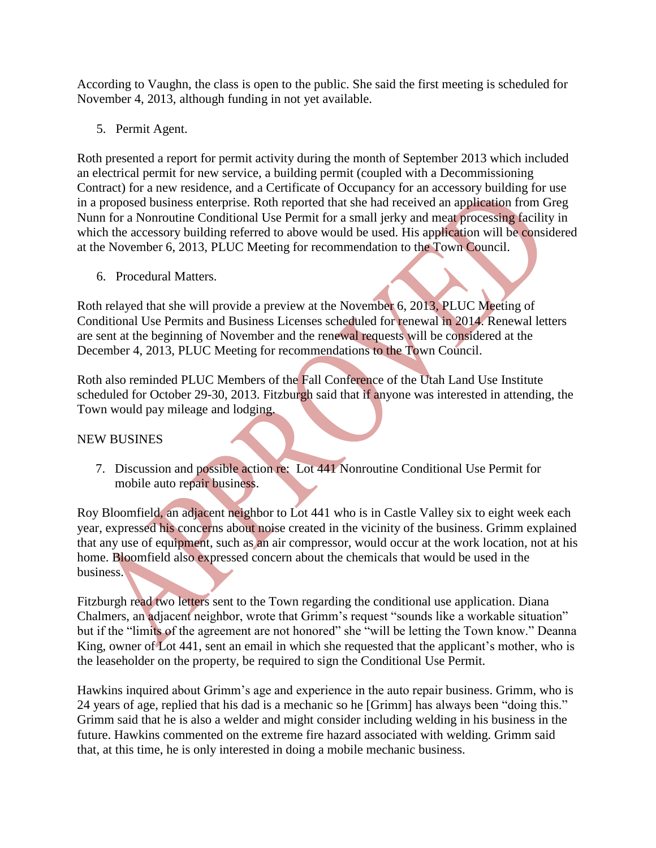According to Vaughn, the class is open to the public. She said the first meeting is scheduled for November 4, 2013, although funding in not yet available.

5. Permit Agent.

Roth presented a report for permit activity during the month of September 2013 which included an electrical permit for new service, a building permit (coupled with a Decommissioning Contract) for a new residence, and a Certificate of Occupancy for an accessory building for use in a proposed business enterprise. Roth reported that she had received an application from Greg Nunn for a Nonroutine Conditional Use Permit for a small jerky and meat processing facility in which the accessory building referred to above would be used. His application will be considered at the November 6, 2013, PLUC Meeting for recommendation to the Town Council.

6. Procedural Matters.

Roth relayed that she will provide a preview at the November 6, 2013, PLUC Meeting of Conditional Use Permits and Business Licenses scheduled for renewal in 2014. Renewal letters are sent at the beginning of November and the renewal requests will be considered at the December 4, 2013, PLUC Meeting for recommendations to the Town Council.

Roth also reminded PLUC Members of the Fall Conference of the Utah Land Use Institute scheduled for October 29-30, 2013. Fitzburgh said that if anyone was interested in attending, the Town would pay mileage and lodging.

## NEW BUSINES

7. Discussion and possible action re: Lot 441 Nonroutine Conditional Use Permit for mobile auto repair business.

Roy Bloomfield, an adjacent neighbor to Lot 441 who is in Castle Valley six to eight week each year, expressed his concerns about noise created in the vicinity of the business. Grimm explained that any use of equipment, such as an air compressor, would occur at the work location, not at his home. Bloomfield also expressed concern about the chemicals that would be used in the business.

Fitzburgh read two letters sent to the Town regarding the conditional use application. Diana Chalmers, an adjacent neighbor, wrote that Grimm's request "sounds like a workable situation" but if the "limits of the agreement are not honored" she "will be letting the Town know." Deanna King, owner of Lot 441, sent an email in which she requested that the applicant's mother, who is the leaseholder on the property, be required to sign the Conditional Use Permit.

Hawkins inquired about Grimm's age and experience in the auto repair business. Grimm, who is 24 years of age, replied that his dad is a mechanic so he [Grimm] has always been "doing this." Grimm said that he is also a welder and might consider including welding in his business in the future. Hawkins commented on the extreme fire hazard associated with welding. Grimm said that, at this time, he is only interested in doing a mobile mechanic business.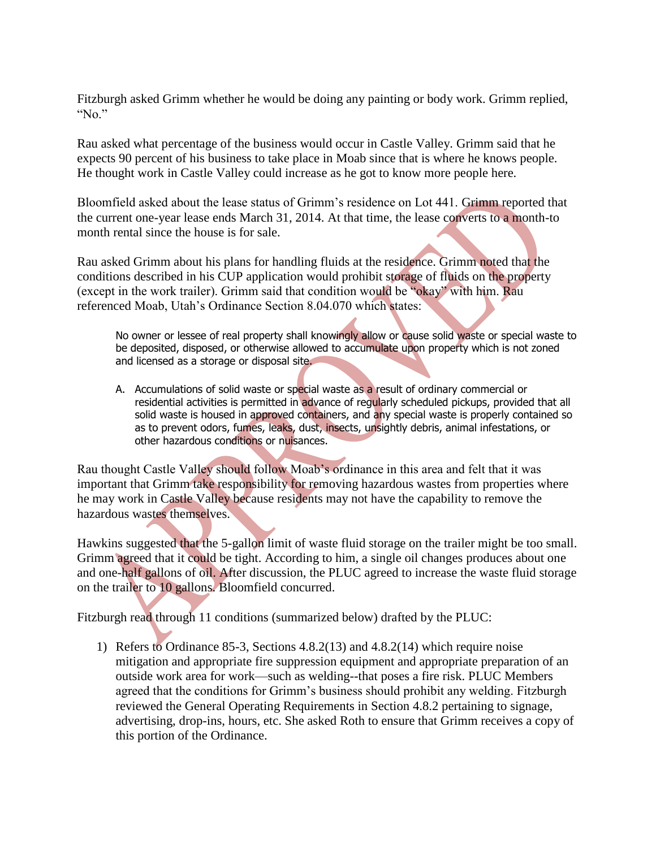Fitzburgh asked Grimm whether he would be doing any painting or body work. Grimm replied, " $No$ "

Rau asked what percentage of the business would occur in Castle Valley. Grimm said that he expects 90 percent of his business to take place in Moab since that is where he knows people. He thought work in Castle Valley could increase as he got to know more people here.

Bloomfield asked about the lease status of Grimm's residence on Lot 441. Grimm reported that the current one-year lease ends March 31, 2014. At that time, the lease converts to a month-to month rental since the house is for sale.

Rau asked Grimm about his plans for handling fluids at the residence. Grimm noted that the conditions described in his CUP application would prohibit storage of fluids on the property (except in the work trailer). Grimm said that condition would be "okay" with him. Rau referenced Moab, Utah's Ordinance Section 8.04.070 which states:

No owner or lessee of real property shall knowingly allow or cause solid waste or special waste to be deposited, disposed, or otherwise allowed to accumulate upon property which is not zoned and licensed as a storage or disposal site.

A. Accumulations of solid waste or special waste as a result of ordinary commercial or residential activities is permitted in advance of regularly scheduled pickups, provided that all solid waste is housed in approved containers, and any special waste is properly contained so as to prevent odors, fumes, leaks, dust, insects, unsightly debris, animal infestations, or other hazardous conditions or nuisances.

Rau thought Castle Valley should follow Moab's ordinance in this area and felt that it was important that Grimm take responsibility for removing hazardous wastes from properties where he may work in Castle Valley because residents may not have the capability to remove the hazardous wastes themselves.

Hawkins suggested that the 5-gallon limit of waste fluid storage on the trailer might be too small. Grimm agreed that it could be tight. According to him, a single oil changes produces about one and one-half gallons of oil. After discussion, the PLUC agreed to increase the waste fluid storage on the trailer to 10 gallons. Bloomfield concurred.

Fitzburgh read through 11 conditions (summarized below) drafted by the PLUC:

1) Refers to Ordinance 85-3, Sections 4.8.2(13) and 4.8.2(14) which require noise mitigation and appropriate fire suppression equipment and appropriate preparation of an outside work area for work—such as welding--that poses a fire risk. PLUC Members agreed that the conditions for Grimm's business should prohibit any welding. Fitzburgh reviewed the General Operating Requirements in Section 4.8.2 pertaining to signage, advertising, drop-ins, hours, etc. She asked Roth to ensure that Grimm receives a copy of this portion of the Ordinance.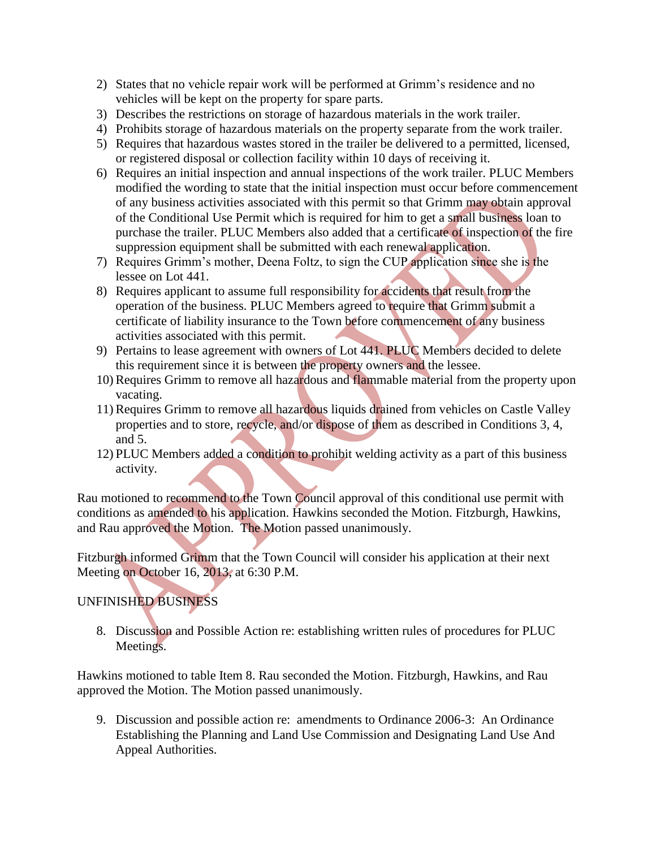- 2) States that no vehicle repair work will be performed at Grimm's residence and no vehicles will be kept on the property for spare parts.
- 3) Describes the restrictions on storage of hazardous materials in the work trailer.
- 4) Prohibits storage of hazardous materials on the property separate from the work trailer.
- 5) Requires that hazardous wastes stored in the trailer be delivered to a permitted, licensed, or registered disposal or collection facility within 10 days of receiving it.
- 6) Requires an initial inspection and annual inspections of the work trailer. PLUC Members modified the wording to state that the initial inspection must occur before commencement of any business activities associated with this permit so that Grimm may obtain approval of the Conditional Use Permit which is required for him to get a small business loan to purchase the trailer. PLUC Members also added that a certificate of inspection of the fire suppression equipment shall be submitted with each renewal application.
- 7) Requires Grimm's mother, Deena Foltz, to sign the CUP application since she is the lessee on Lot 441.
- 8) Requires applicant to assume full responsibility for accidents that result from the operation of the business. PLUC Members agreed to require that Grimm submit a certificate of liability insurance to the Town before commencement of any business activities associated with this permit.
- 9) Pertains to lease agreement with owners of Lot 441. PLUC Members decided to delete this requirement since it is between the property owners and the lessee.
- 10)Requires Grimm to remove all hazardous and flammable material from the property upon vacating.
- 11)Requires Grimm to remove all hazardous liquids drained from vehicles on Castle Valley properties and to store, recycle, and/or dispose of them as described in Conditions 3, 4, and 5.
- 12) PLUC Members added a condition to prohibit welding activity as a part of this business activity.

Rau motioned to recommend to the Town Council approval of this conditional use permit with conditions as amended to his application. Hawkins seconded the Motion. Fitzburgh, Hawkins, and Rau approved the Motion. The Motion passed unanimously.

Fitzburgh informed Grimm that the Town Council will consider his application at their next Meeting on October 16, 2013, at 6:30 P.M.

# UNFINISHED BUSINESS

 8. Discussion and Possible Action re: establishing written rules of procedures for PLUC Meetings.

Hawkins motioned to table Item 8. Rau seconded the Motion. Fitzburgh, Hawkins, and Rau approved the Motion. The Motion passed unanimously.

 9. Discussion and possible action re: amendments to Ordinance 2006-3: An Ordinance Establishing the Planning and Land Use Commission and Designating Land Use And Appeal Authorities.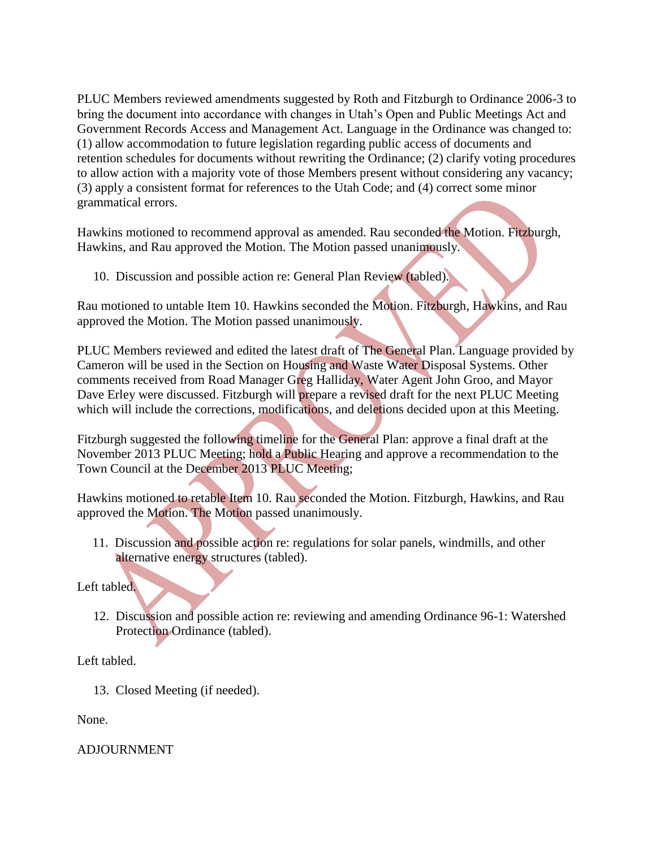PLUC Members reviewed amendments suggested by Roth and Fitzburgh to Ordinance 2006-3 to bring the document into accordance with changes in Utah's Open and Public Meetings Act and Government Records Access and Management Act. Language in the Ordinance was changed to: (1) allow accommodation to future legislation regarding public access of documents and retention schedules for documents without rewriting the Ordinance; (2) clarify voting procedures to allow action with a majority vote of those Members present without considering any vacancy; (3) apply a consistent format for references to the Utah Code; and (4) correct some minor grammatical errors.

Hawkins motioned to recommend approval as amended. Rau seconded the Motion. Fitzburgh, Hawkins, and Rau approved the Motion. The Motion passed unanimously.

10. Discussion and possible action re: General Plan Review (tabled).

Rau motioned to untable Item 10. Hawkins seconded the Motion. Fitzburgh, Hawkins, and Rau approved the Motion. The Motion passed unanimously.

PLUC Members reviewed and edited the latest draft of The General Plan. Language provided by Cameron will be used in the Section on Housing and Waste Water Disposal Systems. Other comments received from Road Manager Greg Halliday, Water Agent John Groo, and Mayor Dave Erley were discussed. Fitzburgh will prepare a revised draft for the next PLUC Meeting which will include the corrections, modifications, and deletions decided upon at this Meeting.

Fitzburgh suggested the following timeline for the General Plan: approve a final draft at the November 2013 PLUC Meeting; hold a Public Hearing and approve a recommendation to the Town Council at the December 2013 PLUC Meeting;

Hawkins motioned to retable Item 10. Rau seconded the Motion. Fitzburgh, Hawkins, and Rau approved the Motion. The Motion passed unanimously.

11. Discussion and possible action re: regulations for solar panels, windmills, and other alternative energy structures (tabled).

Left tabled.

 12. Discussion and possible action re: reviewing and amending Ordinance 96-1: Watershed Protection Ordinance (tabled).

Left tabled.

13. Closed Meeting (if needed).

None.

ADJOURNMENT